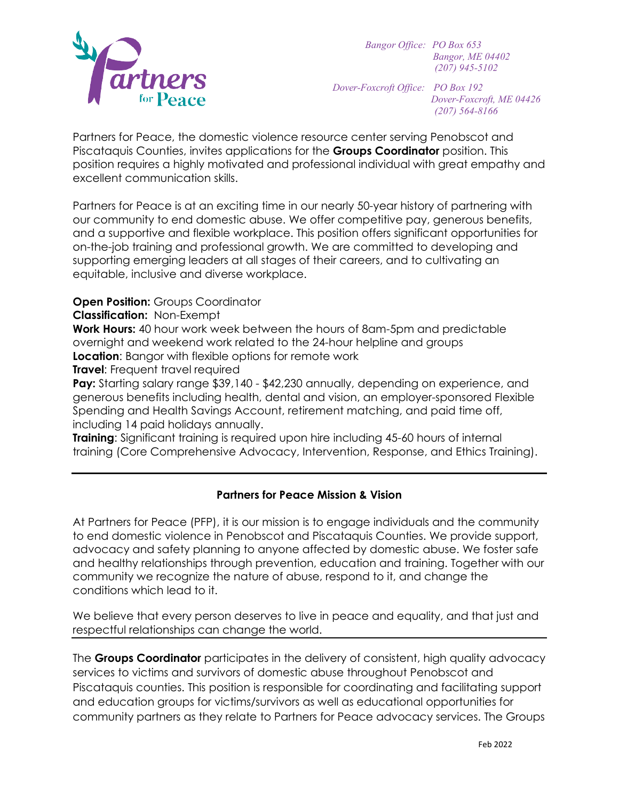

*Bangor Office: PO Box 653 Bangor, ME 04402 (207) 945-5102*

*Dover-Foxcroft Office: PO Box 192*

*Dover-Foxcroft, ME 04426 (207) 564-8166*

Partners for Peace, the domestic violence resource center serving Penobscot and Piscataquis Counties, invites applications for the **Groups Coordinator** position. This position requires a highly motivated and professional individual with great empathy and excellent communication skills.

Partners for Peace is at an exciting time in our nearly 50-year history of partnering with our community to end domestic abuse. We offer competitive pay, generous benefits, and a supportive and flexible workplace. This position offers significant opportunities for on-the-job training and professional growth. We are committed to developing and supporting emerging leaders at all stages of their careers, and to cultivating an equitable, inclusive and diverse workplace.

**Open Position: Groups Coordinator** 

**Classification:** Non-Exempt

**Work Hours:** 40 hour work week between the hours of 8am-5pm and predictable overnight and weekend work related to the 24-hour helpline and groups **Location:** Bangor with flexible options for remote work

**Travel:** Frequent travel required

Pay: Starting salary range \$39,140 - \$42,230 annually, depending on experience, and generous benefits including health, dental and vision, an employer-sponsored Flexible Spending and Health Savings Account, retirement matching, and paid time off, including 14 paid holidays annually.

**Training**: Significant training is required upon hire including 45-60 hours of internal training (Core Comprehensive Advocacy, Intervention, Response, and Ethics Training).

## **Partners for Peace Mission & Vision**

At Partners for Peace (PFP), it is our mission is to engage individuals and the community to end domestic violence in Penobscot and Piscataquis Counties. We provide support, advocacy and safety planning to anyone affected by domestic abuse. We foster safe and healthy relationships through prevention, education and training. Together with our community we recognize the nature of abuse, respond to it, and change the conditions which lead to it.

We believe that every person deserves to live in peace and equality, and that just and respectful relationships can change the world.

The **Groups Coordinator** participates in the delivery of consistent, high quality advocacy services to victims and survivors of domestic abuse throughout Penobscot and Piscataquis counties. This position is responsible for coordinating and facilitating support and education groups for victims/survivors as well as educational opportunities for community partners as they relate to Partners for Peace advocacy services. The Groups